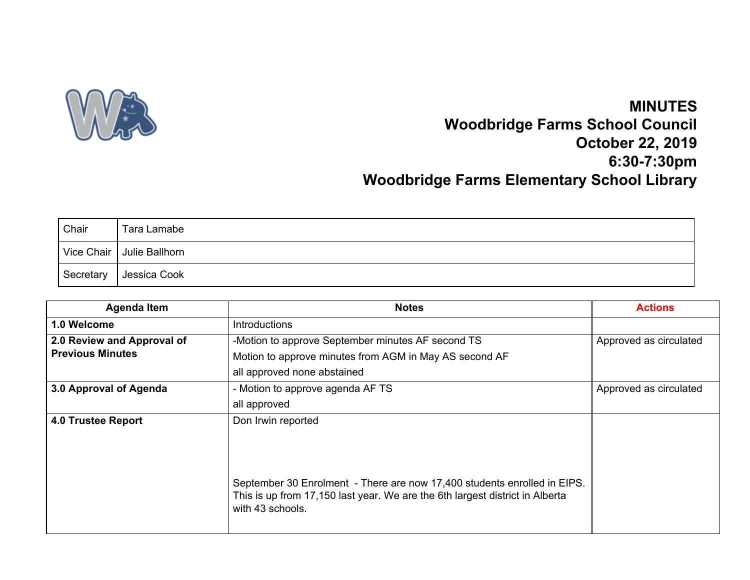

## **MINUTES Woodbridge Farms School Council October 22, 2019 6:30-7:30pm Woodbridge Farms Elementary School Library**

| Chair       | Tara Lamabe                 |
|-------------|-----------------------------|
|             | Vice Chair   Julie Ballhorn |
| ∣ Secretary | Jessica Cook                |

| <b>Agenda Item</b>         | <b>Notes</b>                                                                                                                                                                 | <b>Actions</b>         |
|----------------------------|------------------------------------------------------------------------------------------------------------------------------------------------------------------------------|------------------------|
| 1.0 Welcome                | <b>Introductions</b>                                                                                                                                                         |                        |
| 2.0 Review and Approval of | -Motion to approve September minutes AF second TS                                                                                                                            | Approved as circulated |
| <b>Previous Minutes</b>    | Motion to approve minutes from AGM in May AS second AF                                                                                                                       |                        |
|                            | all approved none abstained                                                                                                                                                  |                        |
| 3.0 Approval of Agenda     | - Motion to approve agenda AF TS                                                                                                                                             | Approved as circulated |
|                            | all approved                                                                                                                                                                 |                        |
| <b>4.0 Trustee Report</b>  | Don Irwin reported                                                                                                                                                           |                        |
|                            |                                                                                                                                                                              |                        |
|                            |                                                                                                                                                                              |                        |
|                            |                                                                                                                                                                              |                        |
|                            | September 30 Enrolment - There are now 17,400 students enrolled in EIPS.<br>This is up from 17,150 last year. We are the 6th largest district in Alberta<br>with 43 schools. |                        |
|                            |                                                                                                                                                                              |                        |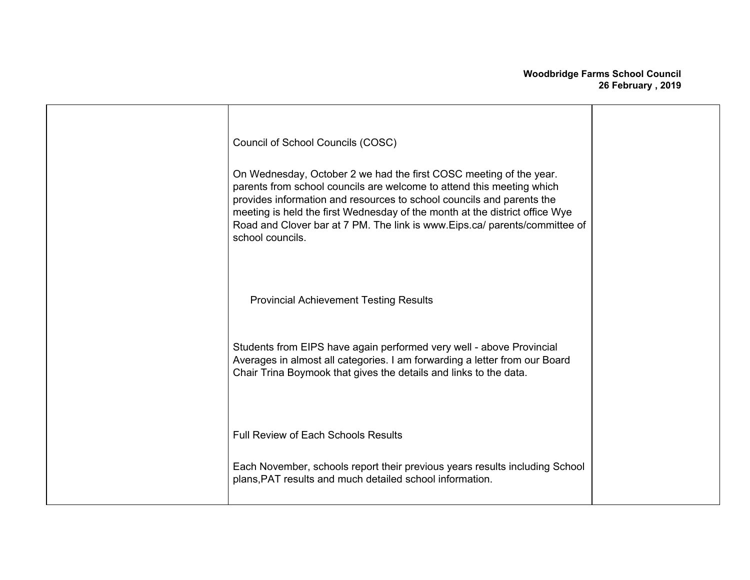| Council of School Councils (COSC)<br>On Wednesday, October 2 we had the first COSC meeting of the year.<br>parents from school councils are welcome to attend this meeting which<br>provides information and resources to school councils and parents the<br>meeting is held the first Wednesday of the month at the district office Wye<br>Road and Clover bar at 7 PM. The link is www.Eips.ca/ parents/committee of<br>school councils. |  |
|--------------------------------------------------------------------------------------------------------------------------------------------------------------------------------------------------------------------------------------------------------------------------------------------------------------------------------------------------------------------------------------------------------------------------------------------|--|
| <b>Provincial Achievement Testing Results</b><br>Students from EIPS have again performed very well - above Provincial<br>Averages in almost all categories. I am forwarding a letter from our Board<br>Chair Trina Boymook that gives the details and links to the data.                                                                                                                                                                   |  |
| <b>Full Review of Each Schools Results</b><br>Each November, schools report their previous years results including School<br>plans, PAT results and much detailed school information.                                                                                                                                                                                                                                                      |  |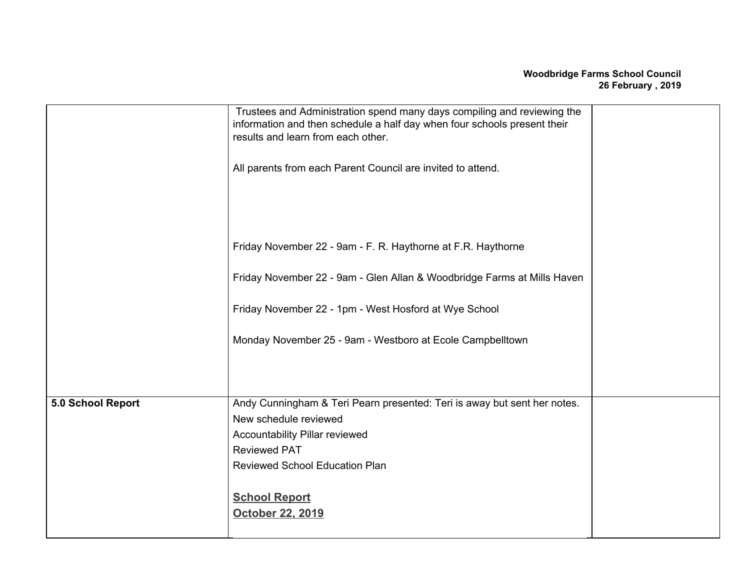|                   | Trustees and Administration spend many days compiling and reviewing the<br>information and then schedule a half day when four schools present their<br>results and learn from each other. |  |
|-------------------|-------------------------------------------------------------------------------------------------------------------------------------------------------------------------------------------|--|
|                   | All parents from each Parent Council are invited to attend.                                                                                                                               |  |
|                   |                                                                                                                                                                                           |  |
|                   | Friday November 22 - 9am - F. R. Haythorne at F.R. Haythorne                                                                                                                              |  |
|                   | Friday November 22 - 9am - Glen Allan & Woodbridge Farms at Mills Haven                                                                                                                   |  |
|                   | Friday November 22 - 1pm - West Hosford at Wye School                                                                                                                                     |  |
|                   | Monday November 25 - 9am - Westboro at Ecole Campbelltown                                                                                                                                 |  |
|                   |                                                                                                                                                                                           |  |
| 5.0 School Report | Andy Cunningham & Teri Pearn presented: Teri is away but sent her notes.                                                                                                                  |  |
|                   | New schedule reviewed                                                                                                                                                                     |  |
|                   | Accountability Pillar reviewed                                                                                                                                                            |  |
|                   | <b>Reviewed PAT</b>                                                                                                                                                                       |  |
|                   | <b>Reviewed School Education Plan</b>                                                                                                                                                     |  |
|                   | <b>School Report</b>                                                                                                                                                                      |  |
|                   | October 22, 2019                                                                                                                                                                          |  |
|                   |                                                                                                                                                                                           |  |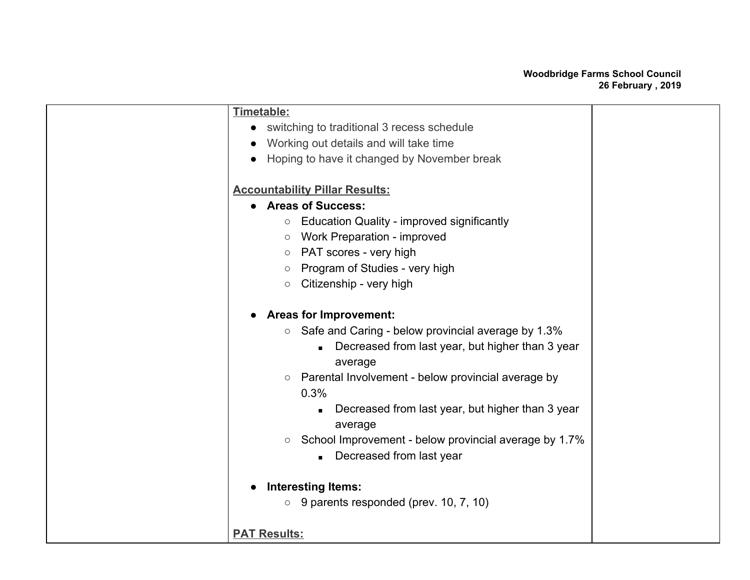| <b>Education Quality - improved significantly</b><br>$\circlearrowright$     |                                                                                                                                                                                                                                                                                                             |
|------------------------------------------------------------------------------|-------------------------------------------------------------------------------------------------------------------------------------------------------------------------------------------------------------------------------------------------------------------------------------------------------------|
| Work Preparation - improved<br>$\circ$                                       |                                                                                                                                                                                                                                                                                                             |
| PAT scores - very high<br>$\circlearrowright$                                |                                                                                                                                                                                                                                                                                                             |
| Program of Studies - very high<br>O                                          |                                                                                                                                                                                                                                                                                                             |
| Citizenship - very high<br>$\circlearrowright$                               |                                                                                                                                                                                                                                                                                                             |
|                                                                              |                                                                                                                                                                                                                                                                                                             |
|                                                                              |                                                                                                                                                                                                                                                                                                             |
| Safe and Caring - below provincial average by 1.3%<br>$\circ$                |                                                                                                                                                                                                                                                                                                             |
| Decreased from last year, but higher than 3 year                             |                                                                                                                                                                                                                                                                                                             |
| average                                                                      |                                                                                                                                                                                                                                                                                                             |
| Parental Involvement - below provincial average by<br>$\circ$                |                                                                                                                                                                                                                                                                                                             |
| 0.3%                                                                         |                                                                                                                                                                                                                                                                                                             |
| Decreased from last year, but higher than 3 year                             |                                                                                                                                                                                                                                                                                                             |
| average                                                                      |                                                                                                                                                                                                                                                                                                             |
| School Improvement - below provincial average by 1.7%<br>$\circlearrowright$ |                                                                                                                                                                                                                                                                                                             |
| Decreased from last year                                                     |                                                                                                                                                                                                                                                                                                             |
|                                                                              |                                                                                                                                                                                                                                                                                                             |
|                                                                              |                                                                                                                                                                                                                                                                                                             |
| 9 parents responded (prev. 10, 7, 10)<br>$\bigcirc$                          |                                                                                                                                                                                                                                                                                                             |
|                                                                              |                                                                                                                                                                                                                                                                                                             |
|                                                                              |                                                                                                                                                                                                                                                                                                             |
|                                                                              | Timetable:<br>switching to traditional 3 recess schedule<br>Working out details and will take time<br>Hoping to have it changed by November break<br><b>Accountability Pillar Results:</b><br><b>Areas of Success:</b><br><b>Areas for Improvement:</b><br><b>Interesting Items:</b><br><b>PAT Results:</b> |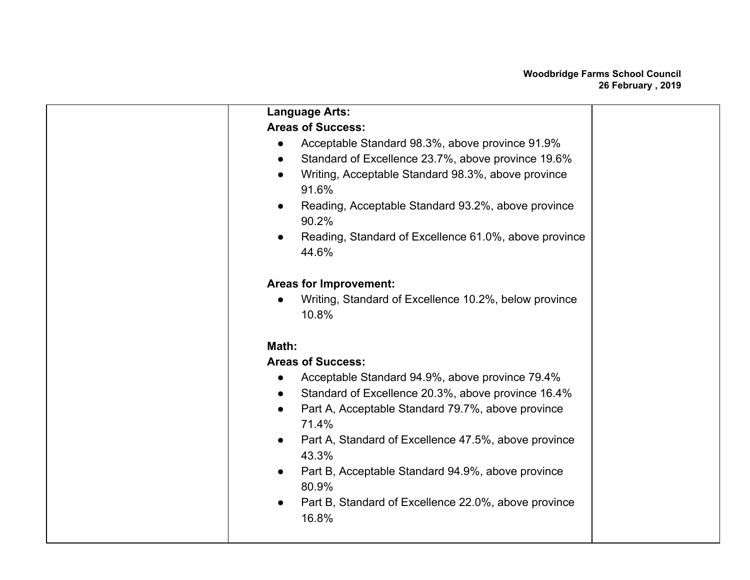| <b>Language Arts:</b>                                                    |  |
|--------------------------------------------------------------------------|--|
| <b>Areas of Success:</b>                                                 |  |
| Acceptable Standard 98.3%, above province 91.9%                          |  |
| Standard of Excellence 23.7%, above province 19.6%<br>$\bullet$          |  |
| Writing, Acceptable Standard 98.3%, above province<br>$\bullet$          |  |
| 91.6%                                                                    |  |
| Reading, Acceptable Standard 93.2%, above province<br>$\bullet$<br>90.2% |  |
| Reading, Standard of Excellence 61.0%, above province                    |  |
| 44.6%                                                                    |  |
|                                                                          |  |
| <b>Areas for Improvement:</b>                                            |  |
| Writing, Standard of Excellence 10.2%, below province                    |  |
| 10.8%                                                                    |  |
| Math:                                                                    |  |
| <b>Areas of Success:</b>                                                 |  |
| Acceptable Standard 94.9%, above province 79.4%                          |  |
| Standard of Excellence 20.3%, above province 16.4%                       |  |
| Part A, Acceptable Standard 79.7%, above province<br>$\bullet$           |  |
| 71.4%                                                                    |  |
| Part A, Standard of Excellence 47.5%, above province<br>$\bullet$        |  |
| 43.3%                                                                    |  |
| Part B, Acceptable Standard 94.9%, above province<br>$\bullet$           |  |
| 80.9%                                                                    |  |
| Part B, Standard of Excellence 22.0%, above province<br>$\bullet$        |  |
| 16.8%                                                                    |  |
|                                                                          |  |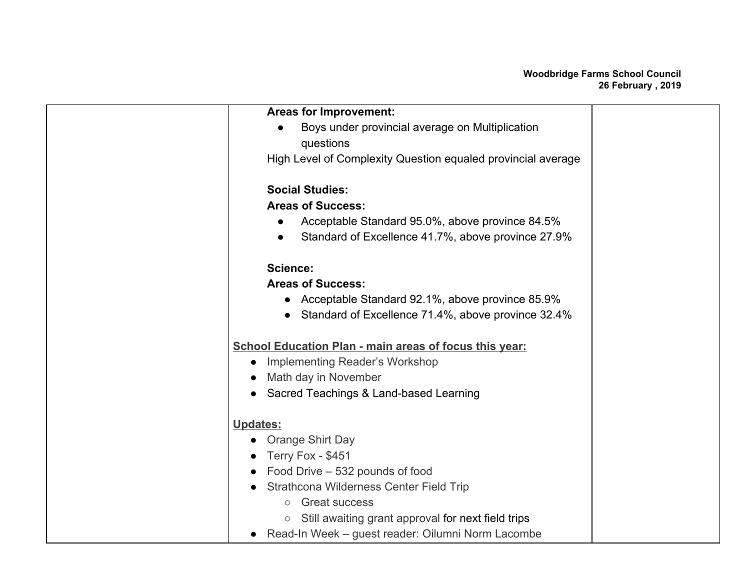| <b>Areas for Improvement:</b>                                   |  |
|-----------------------------------------------------------------|--|
| Boys under provincial average on Multiplication                 |  |
| questions                                                       |  |
| High Level of Complexity Question equaled provincial average    |  |
|                                                                 |  |
| <b>Social Studies:</b>                                          |  |
| <b>Areas of Success:</b>                                        |  |
| Acceptable Standard 95.0%, above province 84.5%<br>$\bullet$    |  |
| Standard of Excellence 41.7%, above province 27.9%<br>$\bullet$ |  |
| <b>Science:</b>                                                 |  |
| <b>Areas of Success:</b>                                        |  |
| • Acceptable Standard 92.1%, above province 85.9%               |  |
| Standard of Excellence 71.4%, above province 32.4%              |  |
|                                                                 |  |
| <b>School Education Plan - main areas of focus this year:</b>   |  |
| <b>Implementing Reader's Workshop</b>                           |  |
| Math day in November                                            |  |
| Sacred Teachings & Land-based Learning                          |  |
| Updates:                                                        |  |
| <b>Orange Shirt Day</b>                                         |  |
| Terry Fox - \$451                                               |  |
| Food Drive - 532 pounds of food                                 |  |
| Strathcona Wilderness Center Field Trip                         |  |
| <b>Great success</b><br>$\circ$                                 |  |
| Still awaiting grant approval for next field trips<br>$\circ$   |  |
| • Read-In Week - guest reader: Oilumni Norm Lacombe             |  |